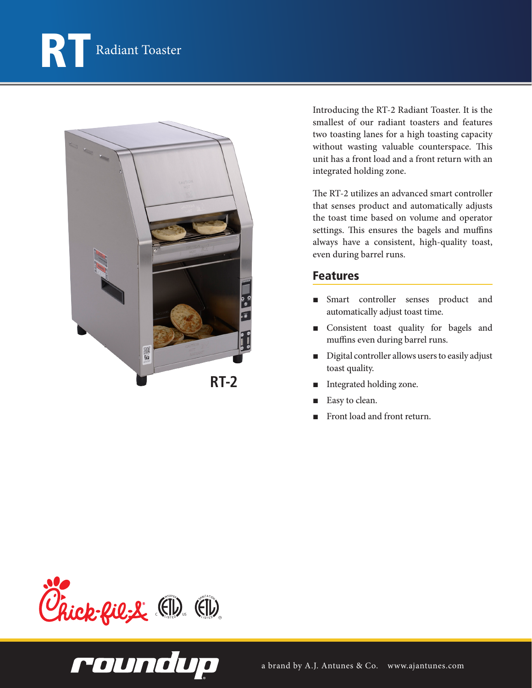



Introducing the RT-2 Radiant Toaster. It is the smallest of our radiant toasters and features two toasting lanes for a high toasting capacity without wasting valuable counterspace. This unit has a front load and a front return with an integrated holding zone.

The RT-2 utilizes an advanced smart controller that senses product and automatically adjusts the toast time based on volume and operator settings. This ensures the bagels and muffins always have a consistent, high-quality toast, even during barrel runs.

## Features

- Smart controller senses product and automatically adjust toast time.
- Consistent toast quality for bagels and muffins even during barrel runs.
- Digital controller allows users to easily adjust toast quality.
- Integrated holding zone.
- Easy to clean.
- Front load and front return.



roundup